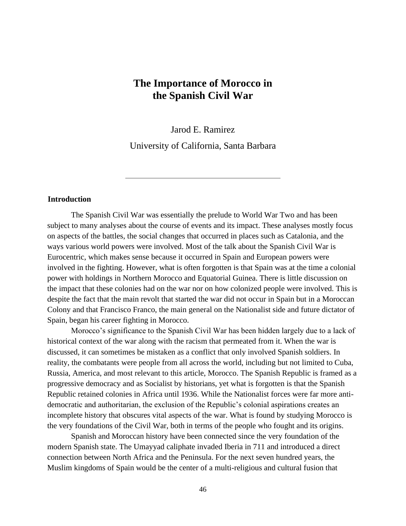# **The Importance of Morocco in the Spanish Civil War**

Jarod E. Ramirez

University of California, Santa Barbara

# **Introduction**

The Spanish Civil War was essentially the prelude to World War Two and has been subject to many analyses about the course of events and its impact. These analyses mostly focus on aspects of the battles, the social changes that occurred in places such as Catalonia, and the ways various world powers were involved. Most of the talk about the Spanish Civil War is Eurocentric, which makes sense because it occurred in Spain and European powers were involved in the fighting. However, what is often forgotten is that Spain was at the time a colonial power with holdings in Northern Morocco and Equatorial Guinea. There is little discussion on the impact that these colonies had on the war nor on how colonized people were involved. This is despite the fact that the main revolt that started the war did not occur in Spain but in a Moroccan Colony and that Francisco Franco, the main general on the Nationalist side and future dictator of Spain, began his career fighting in Morocco.

Morocco's significance to the Spanish Civil War has been hidden largely due to a lack of historical context of the war along with the racism that permeated from it. When the war is discussed, it can sometimes be mistaken as a conflict that only involved Spanish soldiers. In reality, the combatants were people from all across the world, including but not limited to Cuba, Russia, America, and most relevant to this article, Morocco. The Spanish Republic is framed as a progressive democracy and as Socialist by historians, yet what is forgotten is that the Spanish Republic retained colonies in Africa until 1936. While the Nationalist forces were far more antidemocratic and authoritarian, the exclusion of the Republic's colonial aspirations creates an incomplete history that obscures vital aspects of the war. What is found by studying Morocco is the very foundations of the Civil War, both in terms of the people who fought and its origins.

Spanish and Moroccan history have been connected since the very foundation of the modern Spanish state. The Umayyad caliphate invaded Iberia in 711 and introduced a direct connection between North Africa and the Peninsula. For the next seven hundred years, the Muslim kingdoms of Spain would be the center of a multi-religious and cultural fusion that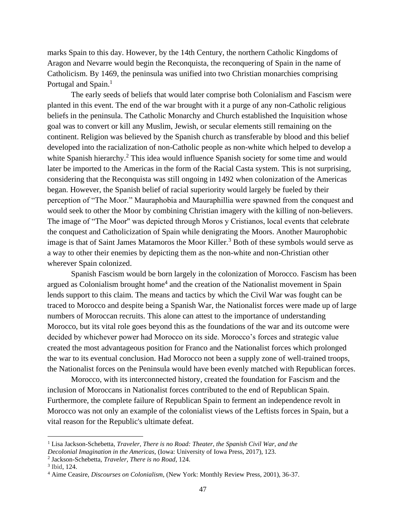marks Spain to this day. However, by the 14th Century, the northern Catholic Kingdoms of Aragon and Nevarre would begin the Reconquista, the reconquering of Spain in the name of Catholicism. By 1469, the peninsula was unified into two Christian monarchies comprising Portugal and Spain.<sup>1</sup>

The early seeds of beliefs that would later comprise both Colonialism and Fascism were planted in this event. The end of the war brought with it a purge of any non-Catholic religious beliefs in the peninsula. The Catholic Monarchy and Church established the Inquisition whose goal was to convert or kill any Muslim, Jewish, or secular elements still remaining on the continent. Religion was believed by the Spanish church as transferable by blood and this belief developed into the racialization of non-Catholic people as non-white which helped to develop a white Spanish hierarchy.<sup>2</sup> This idea would influence Spanish society for some time and would later be imported to the Americas in the form of the Racial Casta system. This is not surprising, considering that the Reconquista was still ongoing in 1492 when colonization of the Americas began. However, the Spanish belief of racial superiority would largely be fueled by their perception of "The Moor." Mauraphobia and Mauraphillia were spawned from the conquest and would seek to other the Moor by combining Christian imagery with the killing of non-believers. The image of "The Moor'' was depicted through Moros y Cristianos, local events that celebrate the conquest and Catholicization of Spain while denigrating the Moors. Another Maurophobic image is that of Saint James Matamoros the Moor Killer.<sup>3</sup> Both of these symbols would serve as a way to other their enemies by depicting them as the non-white and non-Christian other wherever Spain colonized.

Spanish Fascism would be born largely in the colonization of Morocco. Fascism has been argued as Colonialism brought home<sup>4</sup> and the creation of the Nationalist movement in Spain lends support to this claim. The means and tactics by which the Civil War was fought can be traced to Morocco and despite being a Spanish War, the Nationalist forces were made up of large numbers of Moroccan recruits. This alone can attest to the importance of understanding Morocco, but its vital role goes beyond this as the foundations of the war and its outcome were decided by whichever power had Morocco on its side. Morocco's forces and strategic value created the most advantageous position for Franco and the Nationalist forces which prolonged the war to its eventual conclusion. Had Morocco not been a supply zone of well-trained troops, the Nationalist forces on the Peninsula would have been evenly matched with Republican forces.

Morocco, with its interconnected history, created the foundation for Fascism and the inclusion of Moroccans in Nationalist forces contributed to the end of Republican Spain. Furthermore, the complete failure of Republican Spain to ferment an independence revolt in Morocco was not only an example of the colonialist views of the Leftists forces in Spain, but a vital reason for the Republic's ultimate defeat.

<sup>1</sup> Lisa Jackson-Schebetta, *Traveler, There is no Road: Theater, the Spanish Civil War, and the Decolonial Imagination in the Americas,* (Iowa: University of Iowa Press, 2017), 123.

<sup>2</sup> Jackson-Schebetta, *Traveler, There is no Road*, 124.

<sup>3</sup> Ibid*,* 124.

<sup>4</sup> Aime Ceasire, *Discourses on Colonialism,* (New York: Monthly Review Press, 2001), 36-37.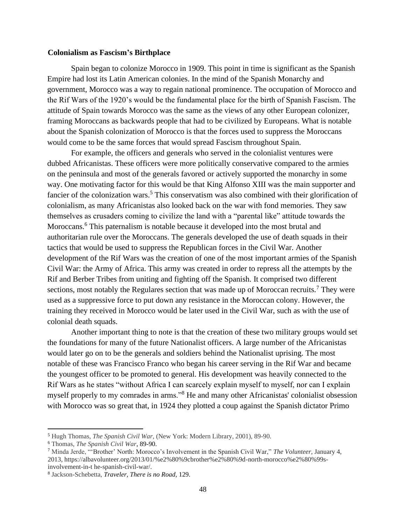## **Colonialism as Fascism's Birthplace**

Spain began to colonize Morocco in 1909. This point in time is significant as the Spanish Empire had lost its Latin American colonies. In the mind of the Spanish Monarchy and government, Morocco was a way to regain national prominence. The occupation of Morocco and the Rif Wars of the 1920's would be the fundamental place for the birth of Spanish Fascism. The attitude of Spain towards Morocco was the same as the views of any other European colonizer, framing Moroccans as backwards people that had to be civilized by Europeans. What is notable about the Spanish colonization of Morocco is that the forces used to suppress the Moroccans would come to be the same forces that would spread Fascism throughout Spain.

For example, the officers and generals who served in the colonialist ventures were dubbed Africanistas. These officers were more politically conservative compared to the armies on the peninsula and most of the generals favored or actively supported the monarchy in some way. One motivating factor for this would be that King Alfonso XIII was the main supporter and fancier of the colonization wars.<sup>5</sup> This conservatism was also combined with their glorification of colonialism, as many Africanistas also looked back on the war with fond memories. They saw themselves as crusaders coming to civilize the land with a "parental like" attitude towards the Moroccans.<sup>6</sup> This paternalism is notable because it developed into the most brutal and authoritarian rule over the Moroccans. The generals developed the use of death squads in their tactics that would be used to suppress the Republican forces in the Civil War. Another development of the Rif Wars was the creation of one of the most important armies of the Spanish Civil War: the Army of Africa. This army was created in order to repress all the attempts by the Rif and Berber Tribes from uniting and fighting off the Spanish. It comprised two different sections, most notably the Regulares section that was made up of Moroccan recruits.<sup>7</sup> They were used as a suppressive force to put down any resistance in the Moroccan colony. However, the training they received in Morocco would be later used in the Civil War, such as with the use of colonial death squads.

Another important thing to note is that the creation of these two military groups would set the foundations for many of the future Nationalist officers. A large number of the Africanistas would later go on to be the generals and soldiers behind the Nationalist uprising. The most notable of these was Francisco Franco who began his career serving in the Rif War and became the youngest officer to be promoted to general. His development was heavily connected to the Rif Wars as he states "without Africa I can scarcely explain myself to myself, nor can I explain myself properly to my comrades in arms."<sup>8</sup> He and many other Africanistas' colonialist obsession with Morocco was so great that, in 1924 they plotted a coup against the Spanish dictator Primo

<sup>5</sup> Hugh Thomas, *The Spanish Civil War,* (New York: Modern Library, 2001), 89-90.

<sup>6</sup> Thomas, *The Spanish Civil War*, 89-90.

<sup>7</sup> Minda Jerde, "'Brother' North: Morocco's Involvement in the Spanish Civil War," *The Volunteer,* January 4, 2013, https://albavolunteer.org/2013/01/%e2%80%9cbrother%e2%80%9d-north-morocco%e2%80%99sinvolvement-in-t he-spanish-civil-war/.

<sup>8</sup> Jackson-Schebetta, *Traveler, There is no Road,* 129.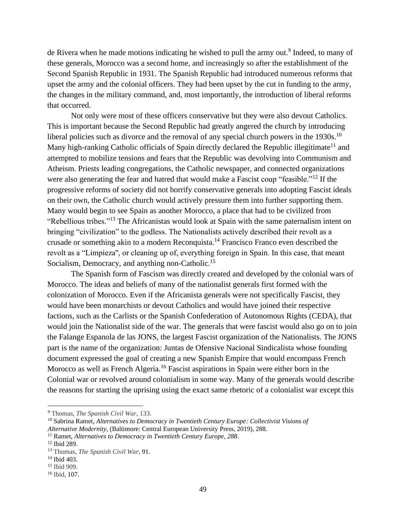de Rivera when he made motions indicating he wished to pull the army out.<sup>9</sup> Indeed, to many of these generals, Morocco was a second home, and increasingly so after the establishment of the Second Spanish Republic in 1931. The Spanish Republic had introduced numerous reforms that upset the army and the colonial officers. They had been upset by the cut in funding to the army, the changes in the military command, and, most importantly, the introduction of liberal reforms that occurred.

Not only were most of these officers conservative but they were also devout Catholics. This is important because the Second Republic had greatly angered the church by introducing liberal policies such as divorce and the removal of any special church powers in the  $1930s$ .<sup>10</sup> Many high-ranking Catholic officials of Spain directly declared the Republic illegitimate<sup>11</sup> and attempted to mobilize tensions and fears that the Republic was devolving into Communism and Atheism. Priests leading congregations, the Catholic newspaper, and connected organizations were also generating the fear and hatred that would make a Fascist coup "feasible."<sup>12</sup> If the progressive reforms of society did not horrify conservative generals into adopting Fascist ideals on their own, the Catholic church would actively pressure them into further supporting them. Many would begin to see Spain as another Morocco, a place that had to be civilized from "Rebellious tribes."<sup>13</sup> The Africanistas would look at Spain with the same paternalism intent on bringing "civilization" to the godless. The Nationalists actively described their revolt as a crusade or something akin to a modern Reconquista.<sup>14</sup> Francisco Franco even described the revolt as a "Limpieza'', or cleaning up of, everything foreign in Spain. In this case, that meant Socialism, Democracy, and anything non-Catholic.<sup>15</sup>

The Spanish form of Fascism was directly created and developed by the colonial wars of Morocco. The ideas and beliefs of many of the nationalist generals first formed with the colonization of Morocco. Even if the Africanista generals were not specifically Fascist, they would have been monarchists or devout Catholics and would have joined their respective factions, such as the Carlists or the Spanish Confederation of Autonomous Rights (CEDA), that would join the Nationalist side of the war. The generals that were fascist would also go on to join the Falange Espanola de las JONS, the largest Fascist organization of the Nationalists. The JONS part is the name of the organization: Juntas de Ofensive Nacional Sindicalista whose founding document expressed the goal of creating a new Spanish Empire that would encompass French Morocco as well as French Algeria.<sup>16</sup> Fascist aspirations in Spain were either born in the Colonial war or revolved around colonialism in some way. Many of the generals would describe the reasons for starting the uprising using the exact same rhetoric of a colonialist war except this

<sup>9</sup> Thomas, *The Spanish Civil War,* 133.

<sup>10</sup> Sabrina Ramet, *Alternatives to Democracy in Twentieth Century Europe: Collectivist Visions of Alternative Modernity,* (Baltimore: Central European University Press, 2019), 288.

<sup>11</sup> Ramet, *Alternatives to Democracy in Twentieth Century Europe, 288*.

<sup>12</sup> Ibid 289.

<sup>13</sup> Thomas, *The Spanish Civil War,* 91.

<sup>14</sup> Ibid 403.

<sup>15</sup> Ibid 909.

<sup>16</sup> Ibid*,* 107.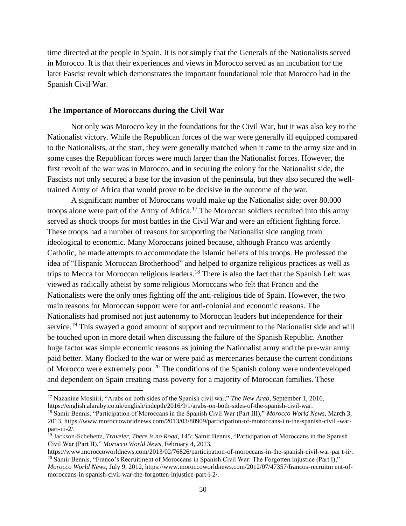time directed at the people in Spain. It is not simply that the Generals of the Nationalists served in Morocco. It is that their experiences and views in Morocco served as an incubation for the later Fascist revolt which demonstrates the important foundational role that Morocco had in the Spanish Civil War.

## **The Importance of Moroccans during the Civil War**

Not only was Morocco key in the foundations for the Civil War, but it was also key to the Nationalist victory. While the Republican forces of the war were generally ill equipped compared to the Nationalists, at the start, they were generally matched when it came to the army size and in some cases the Republican forces were much larger than the Nationalist forces. However, the first revolt of the war was in Morocco, and in securing the colony for the Nationalist side, the Fascists not only secured a base for the invasion of the peninsula, but they also secured the welltrained Army of Africa that would prove to be decisive in the outcome of the war.

A significant number of Moroccans would make up the Nationalist side; over 80,000 troops alone were part of the Army of Africa.<sup>17</sup> The Moroccan soldiers recruited into this army served as shock troops for most battles in the Civil War and were an efficient fighting force. These troops had a number of reasons for supporting the Nationalist side ranging from ideological to economic. Many Moroccans joined because, although Franco was ardently Catholic, he made attempts to accommodate the Islamic beliefs of his troops. He professed the idea of "Hispanic Moroccan Brotherhood" and helped to organize religious practices as well as trips to Mecca for Moroccan religious leaders.<sup>18</sup> There is also the fact that the Spanish Left was viewed as radically atheist by some religious Moroccans who felt that Franco and the Nationalists were the only ones fighting off the anti-religious tide of Spain. However, the two main reasons for Moroccan support were for anti-colonial and economic reasons. The Nationalists had promised not just autonomy to Moroccan leaders but independence for their service.<sup>19</sup> This swayed a good amount of support and recruitment to the Nationalist side and will be touched upon in more detail when discussing the failure of the Spanish Republic. Another huge factor was simple economic reasons as joining the Nationalist army and the pre-war army paid better. Many flocked to the war or were paid as mercenaries because the current conditions of Morocco were extremely poor.<sup>20</sup> The conditions of the Spanish colony were underdeveloped and dependent on Spain creating mass poverty for a majority of Moroccan families. These

<sup>17</sup> Nazanine Moshiri, "Arabs on both sides of the Spanish civil war," *The New Arab*, September 1, 2016, https://english.alaraby.co.uk/english/indepth/2016/9/1/arabs-on-both-sides-of-the-spanish-civil-war.

<sup>18</sup> Samir Bennis, "Participation of Moroccans in the Spanish Civil War (Part III)," *Morocco World News*, March 3, 2013, https://www.moroccoworldnews.com/2013/03/80909/participation-of-moroccans-i n-the-spanish-civil -warpart-iii-2/.

<sup>19</sup> Jackson-Schebetta, *Traveler, There is no Road,* 145; Samir Bennis, "Participation of Moroccans in the Spanish Civil War (Part II)," *Morocco World News*, February 4, 2013,

https://www.moroccoworldnews.com/2013/02/76826/participation-of-moroccans-in-the-spanish-civil-war-par t-ii/. <sup>20</sup> Samir Bennis, "Franco's Recruitment of Moroccans in Spanish Civil War: The Forgotten Injustice (Part I)," *Morocco World News*, July 9, 2012, https://www.moroccoworldnews.com/2012/07/47357/francos-recruitm ent-ofmoroccans-in-spanish-civil-war-the-forgotten-injustice-part-i-2/.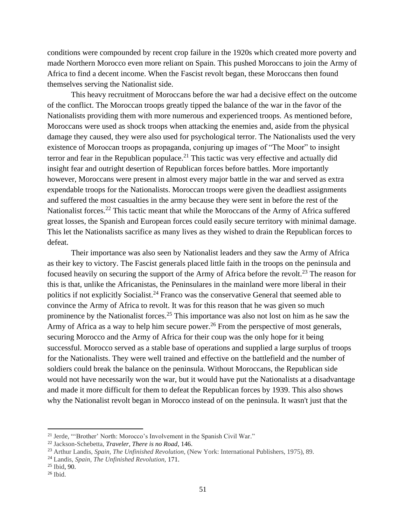conditions were compounded by recent crop failure in the 1920s which created more poverty and made Northern Morocco even more reliant on Spain. This pushed Moroccans to join the Army of Africa to find a decent income. When the Fascist revolt began, these Moroccans then found themselves serving the Nationalist side.

This heavy recruitment of Moroccans before the war had a decisive effect on the outcome of the conflict. The Moroccan troops greatly tipped the balance of the war in the favor of the Nationalists providing them with more numerous and experienced troops. As mentioned before, Moroccans were used as shock troops when attacking the enemies and, aside from the physical damage they caused, they were also used for psychological terror. The Nationalists used the very existence of Moroccan troops as propaganda, conjuring up images of "The Moor" to insight terror and fear in the Republican populace.<sup>21</sup> This tactic was very effective and actually did insight fear and outright desertion of Republican forces before battles. More importantly however, Moroccans were present in almost every major battle in the war and served as extra expendable troops for the Nationalists. Moroccan troops were given the deadliest assignments and suffered the most casualties in the army because they were sent in before the rest of the Nationalist forces.<sup>22</sup> This tactic meant that while the Moroccans of the Army of Africa suffered great losses, the Spanish and European forces could easily secure territory with minimal damage. This let the Nationalists sacrifice as many lives as they wished to drain the Republican forces to defeat.

Their importance was also seen by Nationalist leaders and they saw the Army of Africa as their key to victory. The Fascist generals placed little faith in the troops on the peninsula and focused heavily on securing the support of the Army of Africa before the revolt.<sup>23</sup> The reason for this is that, unlike the Africanistas, the Peninsulares in the mainland were more liberal in their politics if not explicitly Socialist.<sup>24</sup> Franco was the conservative General that seemed able to convince the Army of Africa to revolt. It was for this reason that he was given so much prominence by the Nationalist forces.<sup>25</sup> This importance was also not lost on him as he saw the Army of Africa as a way to help him secure power.<sup>26</sup> From the perspective of most generals, securing Morocco and the Army of Africa for their coup was the only hope for it being successful. Morocco served as a stable base of operations and supplied a large surplus of troops for the Nationalists. They were well trained and effective on the battlefield and the number of soldiers could break the balance on the peninsula. Without Moroccans, the Republican side would not have necessarily won the war, but it would have put the Nationalists at a disadvantage and made it more difficult for them to defeat the Republican forces by 1939. This also shows why the Nationalist revolt began in Morocco instead of on the peninsula. It wasn't just that the

<sup>21</sup> Jerde, "'Brother' North: Morocco's Involvement in the Spanish Civil War."

<sup>22</sup> Jackson-Schebetta, *Traveler, There is no Road,* 146.

<sup>23</sup> Arthur Landis, *Spain, The Unfinished Revolution,* (New York: International Publishers, 1975), 89.

<sup>24</sup> Landis, *Spain, The Unfinished Revolution,* 171.

<sup>25</sup> Ibid, 90.

 $26$  Ibid.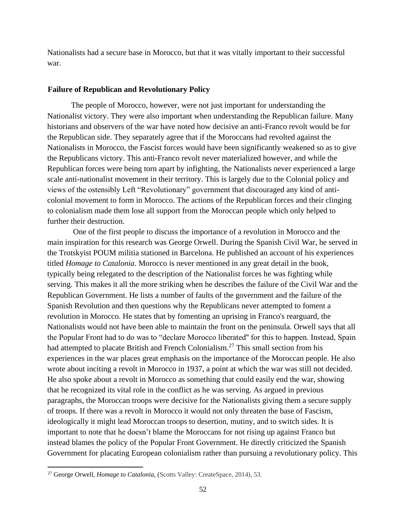Nationalists had a secure base in Morocco, but that it was vitally important to their successful war.

#### **Failure of Republican and Revolutionary Policy**

The people of Morocco, however, were not just important for understanding the Nationalist victory. They were also important when understanding the Republican failure. Many historians and observers of the war have noted how decisive an anti-Franco revolt would be for the Republican side. They separately agree that if the Moroccans had revolted against the Nationalists in Morocco, the Fascist forces would have been significantly weakened so as to give the Republicans victory. This anti-Franco revolt never materialized however, and while the Republican forces were being torn apart by infighting, the Nationalists never experienced a large scale anti-nationalist movement in their territory. This is largely due to the Colonial policy and views of the ostensibly Left "Revolutionary" government that discouraged any kind of anticolonial movement to form in Morocco. The actions of the Republican forces and their clinging to colonialism made them lose all support from the Moroccan people which only helped to further their destruction.

One of the first people to discuss the importance of a revolution in Morocco and the main inspiration for this research was George Orwell. During the Spanish Civil War, he served in the Trotskyist POUM militia stationed in Barcelona. He published an account of his experiences titled *Homage to Catalonia*. Morocco is never mentioned in any great detail in the book, typically being relegated to the description of the Nationalist forces he was fighting while serving. This makes it all the more striking when he describes the failure of the Civil War and the Republican Government. He lists a number of faults of the government and the failure of the Spanish Revolution and then questions why the Republicans never attempted to foment a revolution in Morocco. He states that by fomenting an uprising in Franco's rearguard, the Nationalists would not have been able to maintain the front on the peninsula. Orwell says that all the Popular Front had to do was to "declare Morocco liberated'' for this to happen. Instead, Spain had attempted to placate British and French Colonialism.<sup>27</sup> This small section from his experiences in the war places great emphasis on the importance of the Moroccan people. He also wrote about inciting a revolt in Morocco in 1937, a point at which the war was still not decided. He also spoke about a revolt in Morocco as something that could easily end the war, showing that he recognized its vital role in the conflict as he was serving. As argued in previous paragraphs, the Moroccan troops were decisive for the Nationalists giving them a secure supply of troops. If there was a revolt in Morocco it would not only threaten the base of Fascism, ideologically it might lead Moroccan troops to desertion, mutiny, and to switch sides. It is important to note that he doesn't blame the Moroccans for not rising up against Franco but instead blames the policy of the Popular Front Government. He directly criticized the Spanish Government for placating European colonialism rather than pursuing a revolutionary policy. This

<sup>27</sup> George Orwell, *Homage to Catalonia*, (Scotts Valley: CreateSpace, 2014), 53.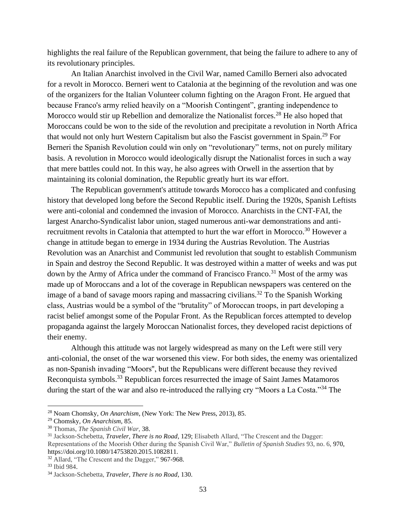highlights the real failure of the Republican government, that being the failure to adhere to any of its revolutionary principles.

An Italian Anarchist involved in the Civil War, named Camillo Berneri also advocated for a revolt in Morocco. Berneri went to Catalonia at the beginning of the revolution and was one of the organizers for the Italian Volunteer column fighting on the Aragon Front. He argued that because Franco's army relied heavily on a "Moorish Contingent", granting independence to Morocco would stir up Rebellion and demoralize the Nationalist forces.<sup>28</sup> He also hoped that Moroccans could be won to the side of the revolution and precipitate a revolution in North Africa that would not only hurt Western Capitalism but also the Fascist government in Spain.<sup>29</sup> For Berneri the Spanish Revolution could win only on "revolutionary" terms, not on purely military basis. A revolution in Morocco would ideologically disrupt the Nationalist forces in such a way that mere battles could not. In this way, he also agrees with Orwell in the assertion that by maintaining its colonial domination, the Republic greatly hurt its war effort.

The Republican government's attitude towards Morocco has a complicated and confusing history that developed long before the Second Republic itself. During the 1920s, Spanish Leftists were anti-colonial and condemned the invasion of Morocco. Anarchists in the CNT-FAI, the largest Anarcho-Syndicalist labor union, staged numerous anti-war demonstrations and antirecruitment revolts in Catalonia that attempted to hurt the war effort in Morocco.<sup>30</sup> However a change in attitude began to emerge in 1934 during the Austrias Revolution. The Austrias Revolution was an Anarchist and Communist led revolution that sought to establish Communism in Spain and destroy the Second Republic. It was destroyed within a matter of weeks and was put down by the Army of Africa under the command of Francisco Franco.<sup>31</sup> Most of the army was made up of Moroccans and a lot of the coverage in Republican newspapers was centered on the image of a band of savage moors raping and massacring civilians.<sup>32</sup> To the Spanish Working class, Austrias would be a symbol of the "brutality" of Moroccan troops, in part developing a racist belief amongst some of the Popular Front. As the Republican forces attempted to develop propaganda against the largely Moroccan Nationalist forces, they developed racist depictions of their enemy.

Although this attitude was not largely widespread as many on the Left were still very anti-colonial, the onset of the war worsened this view. For both sides, the enemy was orientalized as non-Spanish invading "Moors'', but the Republicans were different because they revived Reconquista symbols.<sup>33</sup> Republican forces resurrected the image of Saint James Matamoros during the start of the war and also re-introduced the rallying cry "Moors a La Costa."<sup>34</sup> The

<sup>28</sup> Noam Chomsky, *On Anarchism*, (New York: The New Press, 2013), 85.

<sup>29</sup> Chomsky, *On Anarchism*, 85.

<sup>30</sup> Thomas, *The Spanish Civil War,* 38.

<sup>31</sup> Jackson-Schebetta, *Traveler, There is no Road,* 129; Elisabeth Allard, "The Crescent and the Dagger: Representations of the Moorish Other during the Spanish Civil War," *Bulletin of Spanish Studies* 93, no. 6, 970, https://doi.org/10.1080/14753820.2015.1082811.

<sup>32</sup> Allard, "The Crescent and the Dagger," 967-968.

<sup>33</sup> Ibid 984.

<sup>34</sup> Jackson-Schebetta, *Traveler, There is no Road,* 130.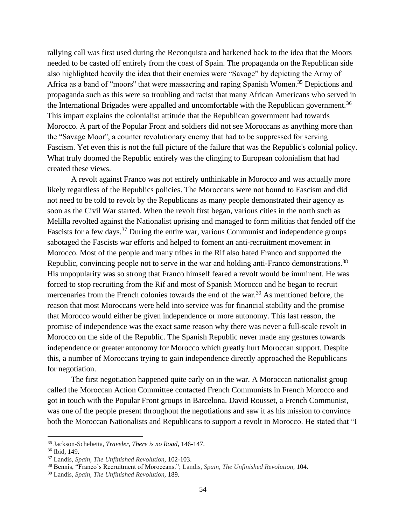rallying call was first used during the Reconquista and harkened back to the idea that the Moors needed to be casted off entirely from the coast of Spain. The propaganda on the Republican side also highlighted heavily the idea that their enemies were "Savage" by depicting the Army of Africa as a band of "moors" that were massacring and raping Spanish Women.<sup>35</sup> Depictions and propaganda such as this were so troubling and racist that many African Americans who served in the International Brigades were appalled and uncomfortable with the Republican government.<sup>36</sup> This impart explains the colonialist attitude that the Republican government had towards Morocco. A part of the Popular Front and soldiers did not see Moroccans as anything more than the "Savage Moor'', a counter revolutionary enemy that had to be suppressed for serving Fascism. Yet even this is not the full picture of the failure that was the Republic's colonial policy. What truly doomed the Republic entirely was the clinging to European colonialism that had created these views.

A revolt against Franco was not entirely unthinkable in Morocco and was actually more likely regardless of the Republics policies. The Moroccans were not bound to Fascism and did not need to be told to revolt by the Republicans as many people demonstrated their agency as soon as the Civil War started. When the revolt first began, various cities in the north such as Melilla revolted against the Nationalist uprising and managed to form militias that fended off the Fascists for a few days.<sup>37</sup> During the entire war, various Communist and independence groups sabotaged the Fascists war efforts and helped to foment an anti-recruitment movement in Morocco. Most of the people and many tribes in the Rif also hated Franco and supported the Republic, convincing people not to serve in the war and holding anti-Franco demonstrations.<sup>38</sup> His unpopularity was so strong that Franco himself feared a revolt would be imminent. He was forced to stop recruiting from the Rif and most of Spanish Morocco and he began to recruit mercenaries from the French colonies towards the end of the war.<sup>39</sup> As mentioned before, the reason that most Moroccans were held into service was for financial stability and the promise that Morocco would either be given independence or more autonomy. This last reason, the promise of independence was the exact same reason why there was never a full-scale revolt in Morocco on the side of the Republic. The Spanish Republic never made any gestures towards independence or greater autonomy for Morocco which greatly hurt Moroccan support. Despite this, a number of Moroccans trying to gain independence directly approached the Republicans for negotiation.

The first negotiation happened quite early on in the war. A Moroccan nationalist group called the Moroccan Action Committee contacted French Communists in French Morocco and got in touch with the Popular Front groups in Barcelona. David Rousset, a French Communist, was one of the people present throughout the negotiations and saw it as his mission to convince both the Moroccan Nationalists and Republicans to support a revolt in Morocco. He stated that "I

<sup>35</sup> Jackson-Schebetta, *Traveler, There is no Road*, 146-147.

<sup>36</sup> Ibid, 149.

<sup>37</sup> Landis, *Spain, The Unfinished Revolution,* 102-103.

<sup>38</sup> Bennis, "Franco's Recruitment of Moroccans."; Landis, *Spain, The Unfinished Revolution,* 104.

<sup>39</sup> Landis, *Spain, The Unfinished Revolution,* 189.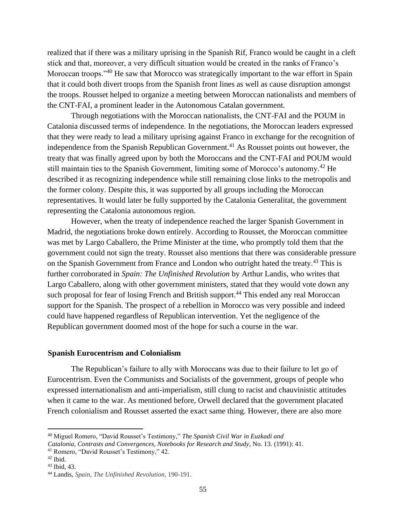realized that if there was a military uprising in the Spanish Rif, Franco would be caught in a cleft stick and that, moreover, a very difficult situation would be created in the ranks of Franco's Moroccan troops."<sup>40</sup> He saw that Morocco was strategically important to the war effort in Spain that it could both divert troops from the Spanish front lines as well as cause disruption amongst the troops. Rousset helped to organize a meeting between Moroccan nationalists and members of the CNT-FAI, a prominent leader in the Autonomous Catalan government.

Through negotiations with the Moroccan nationalists, the CNT-FAI and the POUM in Catalonia discussed terms of independence. In the negotiations, the Moroccan leaders expressed that they were ready to lead a military uprising against Franco in exchange for the recognition of independence from the Spanish Republican Government.<sup>41</sup> As Rousset points out however, the treaty that was finally agreed upon by both the Moroccans and the CNT-FAI and POUM would still maintain ties to the Spanish Government, limiting some of Morocco's autonomy.<sup>42</sup> He described it as recognizing independence while still remaining close links to the metropolis and the former colony. Despite this, it was supported by all groups including the Moroccan representatives. It would later be fully supported by the Catalonia Generalitat, the government representing the Catalonia autonomous region.

However, when the treaty of independence reached the larger Spanish Government in Madrid, the negotiations broke down entirely. According to Rousset, the Moroccan committee was met by Largo Caballero, the Prime Minister at the time, who promptly told them that the government could not sign the treaty. Rousset also mentions that there was considerable pressure on the Spanish Government from France and London who outright hated the treaty.<sup>43</sup> This is further corroborated in *Spain: The Unfinished Revolution* by Arthur Landis, who writes that Largo Caballero, along with other government ministers, stated that they would vote down any such proposal for fear of losing French and British support.<sup>44</sup> This ended any real Moroccan support for the Spanish. The prospect of a rebellion in Morocco was very possible and indeed could have happened regardless of Republican intervention. Yet the negligence of the Republican government doomed most of the hope for such a course in the war.

#### **Spanish Eurocentrism and Colonialism**

The Republican's failure to ally with Moroccans was due to their failure to let go of Eurocentrism. Even the Communists and Socialists of the government, groups of people who expressed internationalism and anti-imperialism, still clung to racist and chauvinistic attitudes when it came to the war. As mentioned before, Orwell declared that the government placated French colonialism and Rousset asserted the exact same thing. However, there are also more

<sup>40</sup> Miguel Romero, "David Rousset's Testimony," *The Spanish Civil War in Euzkadi and Catalonia, Contrasts and Convergences, Notebooks for Research and Study*, No. 13*.* (1991): 41.

<sup>41</sup> Romero, "David Rousset's Testimony," 42.

<sup>42</sup> Ibid.

<sup>43</sup> Ibid, 43.

<sup>44</sup> Landis, *Spain, The Unfinished Revolution*, 190-191.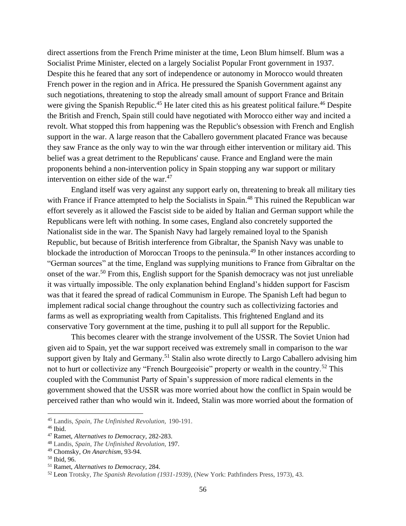direct assertions from the French Prime minister at the time, Leon Blum himself. Blum was a Socialist Prime Minister, elected on a largely Socialist Popular Front government in 1937. Despite this he feared that any sort of independence or autonomy in Morocco would threaten French power in the region and in Africa. He pressured the Spanish Government against any such negotiations, threatening to stop the already small amount of support France and Britain were giving the Spanish Republic.<sup>45</sup> He later cited this as his greatest political failure.<sup>46</sup> Despite the British and French, Spain still could have negotiated with Morocco either way and incited a revolt. What stopped this from happening was the Republic's obsession with French and English support in the war. A large reason that the Caballero government placated France was because they saw France as the only way to win the war through either intervention or military aid. This belief was a great detriment to the Republicans' cause. France and England were the main proponents behind a non-intervention policy in Spain stopping any war support or military intervention on either side of the war.<sup>47</sup>

England itself was very against any support early on, threatening to break all military ties with France if France attempted to help the Socialists in Spain.<sup>48</sup> This ruined the Republican war effort severely as it allowed the Fascist side to be aided by Italian and German support while the Republicans were left with nothing. In some cases, England also concretely supported the Nationalist side in the war. The Spanish Navy had largely remained loyal to the Spanish Republic, but because of British interference from Gibraltar, the Spanish Navy was unable to blockade the introduction of Moroccan Troops to the peninsula.<sup>49</sup> In other instances according to "German sources" at the time, England was supplying munitions to France from Gibraltar on the onset of the war.<sup>50</sup> From this, English support for the Spanish democracy was not just unreliable it was virtually impossible. The only explanation behind England's hidden support for Fascism was that it feared the spread of radical Communism in Europe. The Spanish Left had begun to implement radical social change throughout the country such as collectivizing factories and farms as well as expropriating wealth from Capitalists. This frightened England and its conservative Tory government at the time, pushing it to pull all support for the Republic.

This becomes clearer with the strange involvement of the USSR. The Soviet Union had given aid to Spain, yet the war support received was extremely small in comparison to the war support given by Italy and Germany.<sup>51</sup> Stalin also wrote directly to Largo Caballero advising him not to hurt or collectivize any "French Bourgeoisie" property or wealth in the country.<sup>52</sup> This coupled with the Communist Party of Spain's suppression of more radical elements in the government showed that the USSR was more worried about how the conflict in Spain would be perceived rather than who would win it. Indeed, Stalin was more worried about the formation of

<sup>45</sup> Landis, *Spain, The Unfinished Revolution,* 190-191.

 $46$  Ibid.

<sup>47</sup> Ramet, *Alternatives to Democracy,* 282-283.

<sup>48</sup> Landis, *Spain, The Unfinished Revolution,* 197.

<sup>49</sup> Chomsky, *On Anarchism*, 93-94.

<sup>50</sup> Ibid, 96.

<sup>51</sup> Ramet, *Alternatives to Democracy,* 284.

<sup>52</sup> Leon Trotsky, *The Spanish Revolution (1931-1939),* (New York: Pathfinders Press, 1973), 43.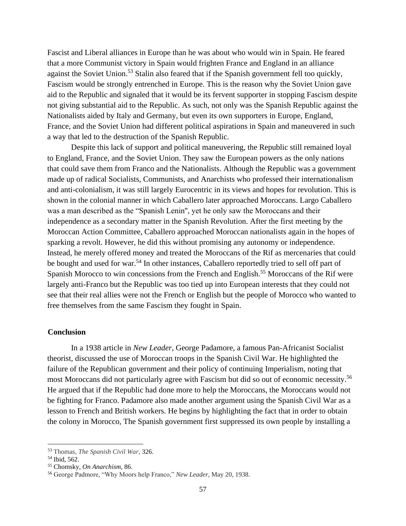Fascist and Liberal alliances in Europe than he was about who would win in Spain. He feared that a more Communist victory in Spain would frighten France and England in an alliance against the Soviet Union.<sup>53</sup> Stalin also feared that if the Spanish government fell too quickly, Fascism would be strongly entrenched in Europe. This is the reason why the Soviet Union gave aid to the Republic and signaled that it would be its fervent supporter in stopping Fascism despite not giving substantial aid to the Republic. As such, not only was the Spanish Republic against the Nationalists aided by Italy and Germany, but even its own supporters in Europe, England, France, and the Soviet Union had different political aspirations in Spain and maneuvered in such a way that led to the destruction of the Spanish Republic.

Despite this lack of support and political maneuvering, the Republic still remained loyal to England, France, and the Soviet Union. They saw the European powers as the only nations that could save them from Franco and the Nationalists. Although the Republic was a government made up of radical Socialists, Communists, and Anarchists who professed their internationalism and anti-colonialism, it was still largely Eurocentric in its views and hopes for revolution. This is shown in the colonial manner in which Caballero later approached Moroccans. Largo Caballero was a man described as the "Spanish Lenin'', yet he only saw the Moroccans and their independence as a secondary matter in the Spanish Revolution. After the first meeting by the Moroccan Action Committee, Caballero approached Moroccan nationalists again in the hopes of sparking a revolt. However, he did this without promising any autonomy or independence. Instead, he merely offered money and treated the Moroccans of the Rif as mercenaries that could be bought and used for war.<sup>54</sup> In other instances, Caballero reportedly tried to sell off part of Spanish Morocco to win concessions from the French and English.<sup>55</sup> Moroccans of the Rif were largely anti-Franco but the Republic was too tied up into European interests that they could not see that their real allies were not the French or English but the people of Morocco who wanted to free themselves from the same Fascism they fought in Spain.

# **Conclusion**

In a 1938 article in *New Leader*, George Padamore, a famous Pan-Africanist Socialist theorist, discussed the use of Moroccan troops in the Spanish Civil War. He highlighted the failure of the Republican government and their policy of continuing Imperialism, noting that most Moroccans did not particularly agree with Fascism but did so out of economic necessity.<sup>56</sup> He argued that if the Republic had done more to help the Moroccans, the Moroccans would not be fighting for Franco. Padamore also made another argument using the Spanish Civil War as a lesson to French and British workers. He begins by highlighting the fact that in order to obtain the colony in Morocco, The Spanish government first suppressed its own people by installing a

<sup>53</sup> Thomas, *The Spanish Civil War,* 326.

<sup>54</sup> Ibid, 562.

<sup>55</sup> Chomsky, *On Anarchism*, 86.

<sup>56</sup> George Padmore, "Why Moors help Franco," *New Leader,* May 20, 1938.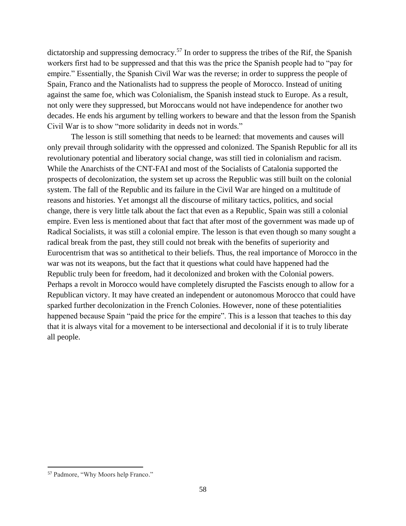dictatorship and suppressing democracy.<sup>57</sup> In order to suppress the tribes of the Rif, the Spanish workers first had to be suppressed and that this was the price the Spanish people had to "pay for empire." Essentially, the Spanish Civil War was the reverse; in order to suppress the people of Spain, Franco and the Nationalists had to suppress the people of Morocco. Instead of uniting against the same foe, which was Colonialism, the Spanish instead stuck to Europe. As a result, not only were they suppressed, but Moroccans would not have independence for another two decades. He ends his argument by telling workers to beware and that the lesson from the Spanish Civil War is to show "more solidarity in deeds not in words."

The lesson is still something that needs to be learned: that movements and causes will only prevail through solidarity with the oppressed and colonized. The Spanish Republic for all its revolutionary potential and liberatory social change, was still tied in colonialism and racism. While the Anarchists of the CNT-FAI and most of the Socialists of Catalonia supported the prospects of decolonization, the system set up across the Republic was still built on the colonial system. The fall of the Republic and its failure in the Civil War are hinged on a multitude of reasons and histories. Yet amongst all the discourse of military tactics, politics, and social change, there is very little talk about the fact that even as a Republic, Spain was still a colonial empire. Even less is mentioned about that fact that after most of the government was made up of Radical Socialists, it was still a colonial empire. The lesson is that even though so many sought a radical break from the past, they still could not break with the benefits of superiority and Eurocentrism that was so antithetical to their beliefs. Thus, the real importance of Morocco in the war was not its weapons, but the fact that it questions what could have happened had the Republic truly been for freedom, had it decolonized and broken with the Colonial powers. Perhaps a revolt in Morocco would have completely disrupted the Fascists enough to allow for a Republican victory. It may have created an independent or autonomous Morocco that could have sparked further decolonization in the French Colonies. However, none of these potentialities happened because Spain "paid the price for the empire". This is a lesson that teaches to this day that it is always vital for a movement to be intersectional and decolonial if it is to truly liberate all people.

<sup>57</sup> Padmore, "Why Moors help Franco."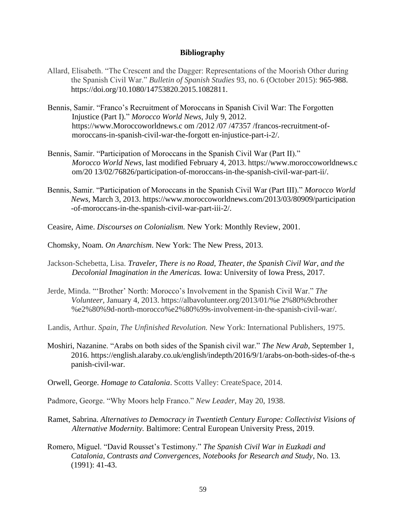#### **Bibliography**

- Allard, Elisabeth. "The Crescent and the Dagger: Representations of the Moorish Other during the Spanish Civil War." *Bulletin of Spanish Studies* 93, no. 6 (October 2015): 965-988. https://doi.org/10.1080/14753820.2015.1082811.
- Bennis, Samir. "Franco's Recruitment of Moroccans in Spanish Civil War: The Forgotten Injustice (Part I)." *Morocco World News,* July 9, 2012. https://www.Moroccoworldnews.c om /2012 /07 /47357 /francos-recruitment-ofmoroccans-in-spanish-civil-war-the-forgott en-injustice-part-i-2/.
- Bennis, Samir. "Participation of Moroccans in the Spanish Civil War (Part II)." *Morocco World News,* last modified February 4, 2013. https://www.moroccoworldnews.c om/20 13/02/76826/participation-of-moroccans-in-the-spanish-civil-war-part-ii/.
- Bennis, Samir. "Participation of Moroccans in the Spanish Civil War (Part III)." *Morocco World News,* March 3, 2013. https://www.moroccoworldnews.com/2013/03/80909/participation -of-moroccans-in-the-spanish-civil-war-part-iii-2/.
- Ceasire, Aime. *Discourses on Colonialism.* New York: Monthly Review, 2001.
- Chomsky, Noam. *On Anarchism*. New York: The New Press, 2013.
- Jackson-Schebetta, Lisa. *Traveler, There is no Road, Theater, the Spanish Civil War, and the Decolonial Imagination in the Americas.* Iowa: University of Iowa Press, 2017.
- Jerde, Minda. "'Brother' North: Morocco's Involvement in the Spanish Civil War." *The Volunteer,* January 4, 2013. https://albavolunteer.org/2013/01/%e 2%80%9cbrother %e2%80%9d-north-morocco%e2%80%99s-involvement-in-the-spanish-civil-war/.
- Landis, Arthur. *Spain, The Unfinished Revolution.* New York: International Publishers, 1975.
- Moshiri, Nazanine. "Arabs on both sides of the Spanish civil war." *The New Arab,* September 1, 2016. https://english.alaraby.co.uk/english/indepth/2016/9/1/arabs-on-both-sides-of-the-s panish-civil-war.
- Orwell, George. *Homage to Catalonia*. Scotts Valley: CreateSpace, 2014.
- Padmore, George. "Why Moors help Franco." *New Leader,* May 20, 1938.
- Ramet, Sabrina. *Alternatives to Democracy in Twentieth Century Europe: Collectivist Visions of Alternative Modernity.* Baltimore: Central European University Press, 2019.
- Romero, Miguel. "David Rousset's Testimony." *The Spanish Civil War in Euzkadi and Catalonia, Contrasts and Convergences, Notebooks for Research and Study*, No. 13*.*  (1991): 41-43.